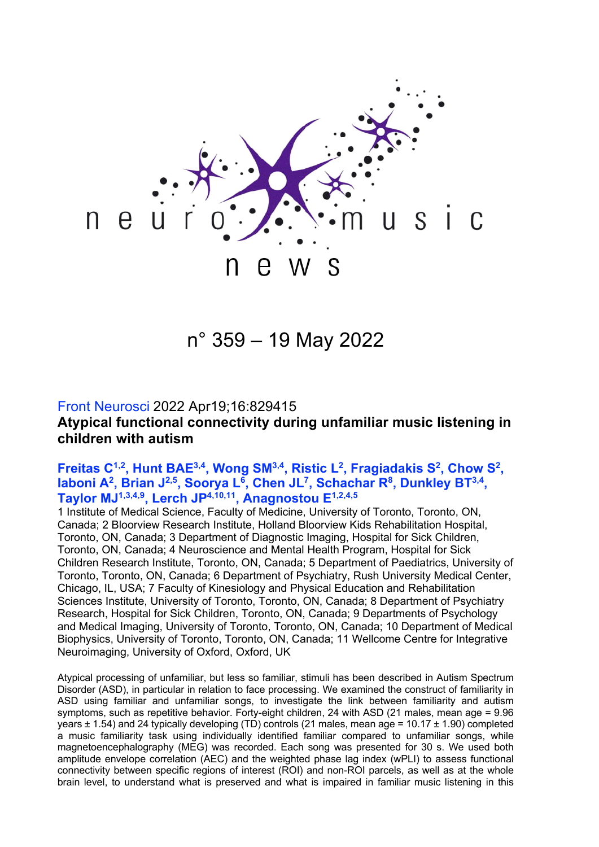

n° 359 – 19 May 2022

### Front Neurosci 2022 Apr19;16:829415

**Atypical functional connectivity during unfamiliar music listening in children with autism** 

## Freitas C<sup>1,2</sup>, Hunt BAE<sup>3,4</sup>, Wong SM<sup>3,4</sup>, Ristic L<sup>2</sup>, Fragiadakis S<sup>2</sup>, Chow S<sup>2</sup>, Iaboni A<sup>2</sup>, Brian J<sup>2,5</sup>, Soorya L<sup>6</sup>, Chen JL<sup>7</sup>, Schachar R<sup>8</sup>, Dunkley BT<sup>3,4</sup>, **Taylor MJ1,3,4,9, Lerch JP4,10,11, Anagnostou E1,2,4,5**

1 Institute of Medical Science, Faculty of Medicine, University of Toronto, Toronto, ON, Canada; 2 Bloorview Research Institute, Holland Bloorview Kids Rehabilitation Hospital, Toronto, ON, Canada; 3 Department of Diagnostic Imaging, Hospital for Sick Children, Toronto, ON, Canada; 4 Neuroscience and Mental Health Program, Hospital for Sick Children Research Institute, Toronto, ON, Canada; 5 Department of Paediatrics, University of Toronto, Toronto, ON, Canada; 6 Department of Psychiatry, Rush University Medical Center, Chicago, IL, USA; 7 Faculty of Kinesiology and Physical Education and Rehabilitation Sciences Institute, University of Toronto, Toronto, ON, Canada; 8 Department of Psychiatry Research, Hospital for Sick Children, Toronto, ON, Canada; 9 Departments of Psychology and Medical Imaging, University of Toronto, Toronto, ON, Canada; 10 Department of Medical Biophysics, University of Toronto, Toronto, ON, Canada; 11 Wellcome Centre for Integrative Neuroimaging, University of Oxford, Oxford, UK

Atypical processing of unfamiliar, but less so familiar, stimuli has been described in Autism Spectrum Disorder (ASD), in particular in relation to face processing. We examined the construct of familiarity in ASD using familiar and unfamiliar songs, to investigate the link between familiarity and autism symptoms, such as repetitive behavior. Forty-eight children, 24 with ASD (21 males, mean age = 9.96 years ± 1.54) and 24 typically developing (TD) controls (21 males, mean age = 10.17 ± 1.90) completed a music familiarity task using individually identified familiar compared to unfamiliar songs, while magnetoencephalography (MEG) was recorded. Each song was presented for 30 s. We used both amplitude envelope correlation (AEC) and the weighted phase lag index (wPLI) to assess functional connectivity between specific regions of interest (ROI) and non-ROI parcels, as well as at the whole brain level, to understand what is preserved and what is impaired in familiar music listening in this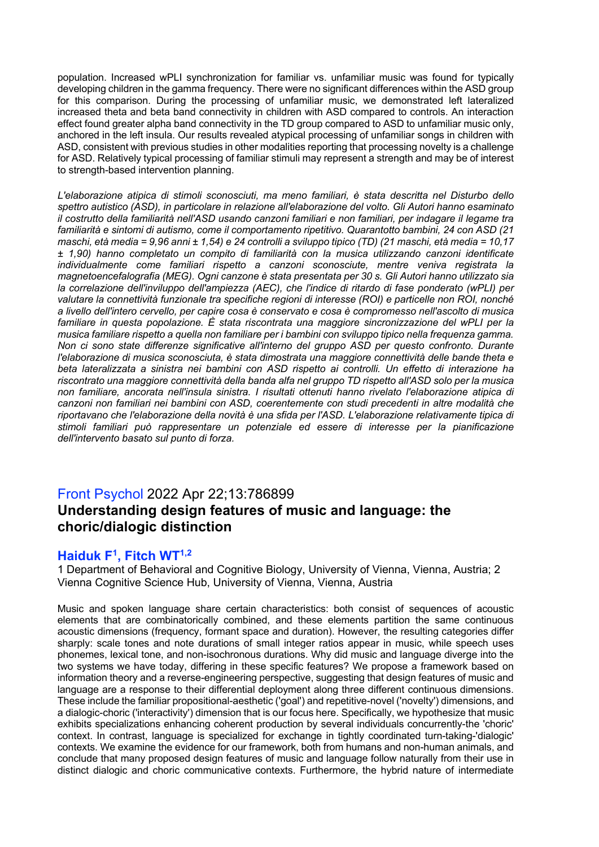population. Increased wPLI synchronization for familiar vs. unfamiliar music was found for typically developing children in the gamma frequency. There were no significant differences within the ASD group for this comparison. During the processing of unfamiliar music, we demonstrated left lateralized increased theta and beta band connectivity in children with ASD compared to controls. An interaction effect found greater alpha band connectivity in the TD group compared to ASD to unfamiliar music only, anchored in the left insula. Our results revealed atypical processing of unfamiliar songs in children with ASD, consistent with previous studies in other modalities reporting that processing novelty is a challenge for ASD. Relatively typical processing of familiar stimuli may represent a strength and may be of interest to strength-based intervention planning.

*L'elaborazione atipica di stimoli sconosciuti, ma meno familiari, è stata descritta nel Disturbo dello spettro autistico (ASD), in particolare in relazione all'elaborazione del volto. Gli Autori hanno esaminato il costrutto della familiarità nell'ASD usando canzoni familiari e non familiari, per indagare il legame tra familiarità e sintomi di autismo, come il comportamento ripetitivo. Quarantotto bambini, 24 con ASD (21 maschi, età media = 9,96 anni ± 1,54) e 24 controlli a sviluppo tipico (TD) (21 maschi, età media = 10,17 ± 1,90) hanno completato un compito di familiarità con la musica utilizzando canzoni identificate individualmente come familiari rispetto a canzoni sconosciute, mentre veniva registrata la magnetoencefalografia (MEG). Ogni canzone è stata presentata per 30 s. Gli Autori hanno utilizzato sia la correlazione dell'inviluppo dell'ampiezza (AEC), che l'indice di ritardo di fase ponderato (wPLI) per valutare la connettività funzionale tra specifiche regioni di interesse (ROI) e particelle non ROI, nonché a livello dell'intero cervello, per capire cosa è conservato e cosa è compromesso nell'ascolto di musica familiare in questa popolazione. È stata riscontrata una maggiore sincronizzazione del wPLI per la musica familiare rispetto a quella non familiare per i bambini con sviluppo tipico nella frequenza gamma. Non ci sono state differenze significative all'interno del gruppo ASD per questo confronto. Durante l'elaborazione di musica sconosciuta, è stata dimostrata una maggiore connettività delle bande theta e beta lateralizzata a sinistra nei bambini con ASD rispetto ai controlli. Un effetto di interazione ha riscontrato una maggiore connettività della banda alfa nel gruppo TD rispetto all'ASD solo per la musica non familiare, ancorata nell'insula sinistra. I risultati ottenuti hanno rivelato l'elaborazione atipica di canzoni non familiari nei bambini con ASD, coerentemente con studi precedenti in altre modalità che riportavano che l'elaborazione della novità è una sfida per l'ASD. L'elaborazione relativamente tipica di stimoli familiari può rappresentare un potenziale ed essere di interesse per la pianificazione dell'intervento basato sul punto di forza.*

# Front Psychol 2022 Apr 22;13:786899 **Understanding design features of music and language: the choric/dialogic distinction**

## **Haiduk F1, Fitch WT1,2**

1 Department of Behavioral and Cognitive Biology, University of Vienna, Vienna, Austria; 2 Vienna Cognitive Science Hub, University of Vienna, Vienna, Austria

Music and spoken language share certain characteristics: both consist of sequences of acoustic elements that are combinatorically combined, and these elements partition the same continuous acoustic dimensions (frequency, formant space and duration). However, the resulting categories differ sharply: scale tones and note durations of small integer ratios appear in music, while speech uses phonemes, lexical tone, and non-isochronous durations. Why did music and language diverge into the two systems we have today, differing in these specific features? We propose a framework based on information theory and a reverse-engineering perspective, suggesting that design features of music and language are a response to their differential deployment along three different continuous dimensions. These include the familiar propositional-aesthetic ('goal') and repetitive-novel ('novelty') dimensions, and a dialogic-choric ('interactivity') dimension that is our focus here. Specifically, we hypothesize that music exhibits specializations enhancing coherent production by several individuals concurrently-the 'choric' context. In contrast, language is specialized for exchange in tightly coordinated turn-taking-'dialogic' contexts. We examine the evidence for our framework, both from humans and non-human animals, and conclude that many proposed design features of music and language follow naturally from their use in distinct dialogic and choric communicative contexts. Furthermore, the hybrid nature of intermediate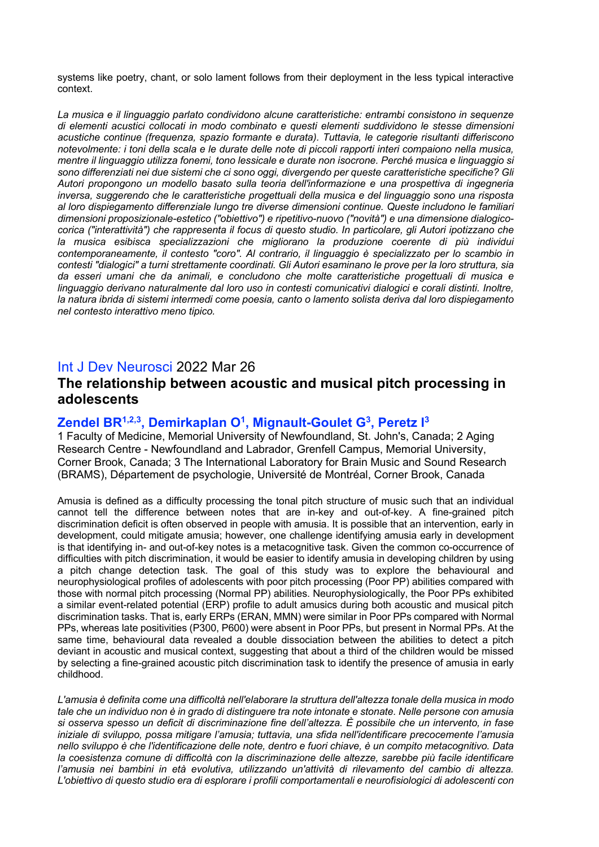systems like poetry, chant, or solo lament follows from their deployment in the less typical interactive context.

*La musica e il linguaggio parlato condividono alcune caratteristiche: entrambi consistono in sequenze di elementi acustici collocati in modo combinato e questi elementi suddividono le stesse dimensioni acustiche continue (frequenza, spazio formante e durata). Tuttavia, le categorie risultanti differiscono notevolmente: i toni della scala e le durate delle note di piccoli rapporti interi compaiono nella musica, mentre il linguaggio utilizza fonemi, tono lessicale e durate non isocrone. Perché musica e linguaggio si sono differenziati nei due sistemi che ci sono oggi, divergendo per queste caratteristiche specifiche? Gli Autori propongono un modello basato sulla teoria dell'informazione e una prospettiva di ingegneria inversa, suggerendo che le caratteristiche progettuali della musica e del linguaggio sono una risposta al loro dispiegamento differenziale lungo tre diverse dimensioni continue. Queste includono le familiari dimensioni proposizionale-estetico ("obiettivo") e ripetitivo-nuovo ("novità") e una dimensione dialogicocorica ("interattività") che rappresenta il focus di questo studio. In particolare, gli Autori ipotizzano che la musica esibisca specializzazioni che migliorano la produzione coerente di più individui contemporaneamente, il contesto "coro". Al contrario, il linguaggio è specializzato per lo scambio in contesti "dialogici" a turni strettamente coordinati. Gli Autori esaminano le prove per la loro struttura, sia da esseri umani che da animali, e concludono che molte caratteristiche progettuali di musica e linguaggio derivano naturalmente dal loro uso in contesti comunicativi dialogici e corali distinti. Inoltre, la natura ibrida di sistemi intermedi come poesia, canto o lamento solista deriva dal loro dispiegamento nel contesto interattivo meno tipico.*

### Int J Dev Neurosci 2022 Mar 26

# **The relationship between acoustic and musical pitch processing in adolescents**

#### **Zendel BR1,2,3, Demirkaplan O1, Mignault-Goulet G3, Peretz I 3**

1 Faculty of Medicine, Memorial University of Newfoundland, St. John's, Canada; 2 Aging Research Centre - Newfoundland and Labrador, Grenfell Campus, Memorial University, Corner Brook, Canada; 3 The International Laboratory for Brain Music and Sound Research (BRAMS), Département de psychologie, Université de Montréal, Corner Brook, Canada

Amusia is defined as a difficulty processing the tonal pitch structure of music such that an individual cannot tell the difference between notes that are in-key and out-of-key. A fine-grained pitch discrimination deficit is often observed in people with amusia. It is possible that an intervention, early in development, could mitigate amusia; however, one challenge identifying amusia early in development is that identifying in- and out-of-key notes is a metacognitive task. Given the common co-occurrence of difficulties with pitch discrimination, it would be easier to identify amusia in developing children by using a pitch change detection task. The goal of this study was to explore the behavioural and neurophysiological profiles of adolescents with poor pitch processing (Poor PP) abilities compared with those with normal pitch processing (Normal PP) abilities. Neurophysiologically, the Poor PPs exhibited a similar event-related potential (ERP) profile to adult amusics during both acoustic and musical pitch discrimination tasks. That is, early ERPs (ERAN, MMN) were similar in Poor PPs compared with Normal PPs, whereas late positivities (P300, P600) were absent in Poor PPs, but present in Normal PPs. At the same time, behavioural data revealed a double dissociation between the abilities to detect a pitch deviant in acoustic and musical context, suggesting that about a third of the children would be missed by selecting a fine-grained acoustic pitch discrimination task to identify the presence of amusia in early childhood.

*L'amusia è definita come una difficoltà nell'elaborare la struttura dell'altezza tonale della musica in modo tale che un individuo non è in grado di distinguere tra note intonate e stonate. Nelle persone con amusia si osserva spesso un deficit di discriminazione fine dell'altezza. È possibile che un intervento, in fase iniziale di sviluppo, possa mitigare l'amusia; tuttavia, una sfida nell'identificare precocemente l'amusia nello sviluppo è che l'identificazione delle note, dentro e fuori chiave, è un compito metacognitivo. Data la coesistenza comune di difficoltà con la discriminazione delle altezze, sarebbe più facile identificare l'amusia nei bambini in età evolutiva, utilizzando un'attività di rilevamento del cambio di altezza. L'obiettivo di questo studio era di esplorare i profili comportamentali e neurofisiologici di adolescenti con*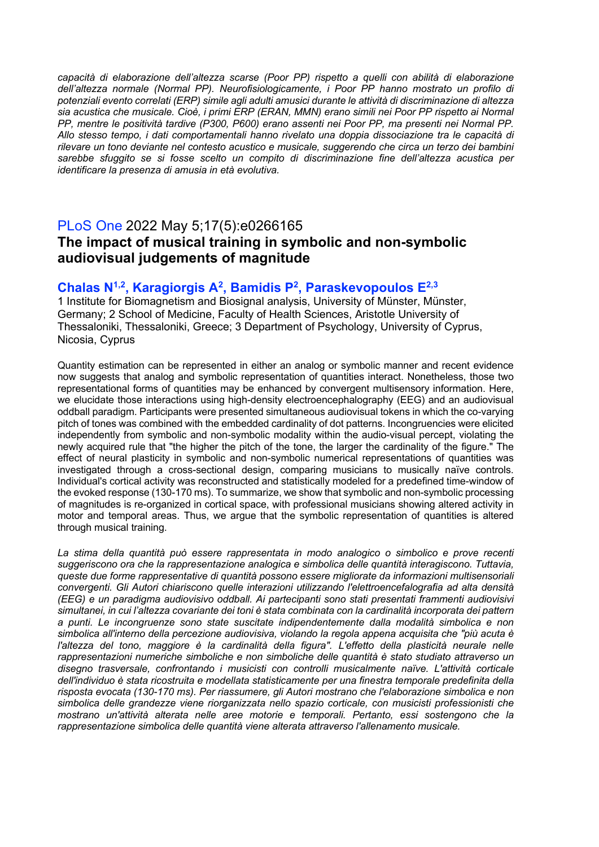*capacità di elaborazione dell'altezza scarse (Poor PP) rispetto a quelli con abilità di elaborazione dell'altezza normale (Normal PP). Neurofisiologicamente, i Poor PP hanno mostrato un profilo di potenziali evento correlati (ERP) simile agli adulti amusici durante le attività di discriminazione di altezza sia acustica che musicale. Cioè, i primi ERP (ERAN, MMN) erano simili nei Poor PP rispetto ai Normal PP, mentre le positività tardive (P300, P600) erano assenti nei Poor PP, ma presenti nei Normal PP. Allo stesso tempo, i dati comportamentali hanno rivelato una doppia dissociazione tra le capacità di rilevare un tono deviante nel contesto acustico e musicale, suggerendo che circa un terzo dei bambini sarebbe sfuggito se si fosse scelto un compito di discriminazione fine dell'altezza acustica per identificare la presenza di amusia in età evolutiva.*

# PLoS One 2022 May 5;17(5):e0266165 **The impact of musical training in symbolic and non-symbolic audiovisual judgements of magnitude**

### **Chalas N1,2, Karagiorgis A2, Bamidis P2, Paraskevopoulos E2,3**

1 Institute for Biomagnetism and Biosignal analysis, University of Münster, Münster, Germany; 2 School of Medicine, Faculty of Health Sciences, Aristotle University of Thessaloniki, Thessaloniki, Greece; 3 Department of Psychology, University of Cyprus, Nicosia, Cyprus

Quantity estimation can be represented in either an analog or symbolic manner and recent evidence now suggests that analog and symbolic representation of quantities interact. Nonetheless, those two representational forms of quantities may be enhanced by convergent multisensory information. Here, we elucidate those interactions using high-density electroencephalography (EEG) and an audiovisual oddball paradigm. Participants were presented simultaneous audiovisual tokens in which the co-varying pitch of tones was combined with the embedded cardinality of dot patterns. Incongruencies were elicited independently from symbolic and non-symbolic modality within the audio-visual percept, violating the newly acquired rule that "the higher the pitch of the tone, the larger the cardinality of the figure." The effect of neural plasticity in symbolic and non-symbolic numerical representations of quantities was investigated through a cross-sectional design, comparing musicians to musically naïve controls. Individual's cortical activity was reconstructed and statistically modeled for a predefined time-window of the evoked response (130-170 ms). To summarize, we show that symbolic and non-symbolic processing of magnitudes is re-organized in cortical space, with professional musicians showing altered activity in motor and temporal areas. Thus, we argue that the symbolic representation of quantities is altered through musical training.

*La stima della quantità può essere rappresentata in modo analogico o simbolico e prove recenti suggeriscono ora che la rappresentazione analogica e simbolica delle quantità interagiscono. Tuttavia, queste due forme rappresentative di quantità possono essere migliorate da informazioni multisensoriali convergenti. Gli Autori chiariscono quelle interazioni utilizzando l'elettroencefalografia ad alta densità (EEG) e un paradigma audiovisivo oddball. Ai partecipanti sono stati presentati frammenti audiovisivi simultanei, in cui l'altezza covariante dei toni è stata combinata con la cardinalità incorporata dei pattern a punti. Le incongruenze sono state suscitate indipendentemente dalla modalità simbolica e non simbolica all'interno della percezione audiovisiva, violando la regola appena acquisita che "più acuta è*  l'altezza del tono, maggiore è la cardinalità della figura". L'effetto della plasticità neurale nelle *rappresentazioni numeriche simboliche e non simboliche delle quantità è stato studiato attraverso un disegno trasversale, confrontando i musicisti con controlli musicalmente naïve. L'attività corticale dell'individuo è stata ricostruita e modellata statisticamente per una finestra temporale predefinita della risposta evocata (130-170 ms). Per riassumere, gli Autori mostrano che l'elaborazione simbolica e non simbolica delle grandezze viene riorganizzata nello spazio corticale, con musicisti professionisti che mostrano un'attività alterata nelle aree motorie e temporali. Pertanto, essi sostengono che la rappresentazione simbolica delle quantità viene alterata attraverso l'allenamento musicale.*